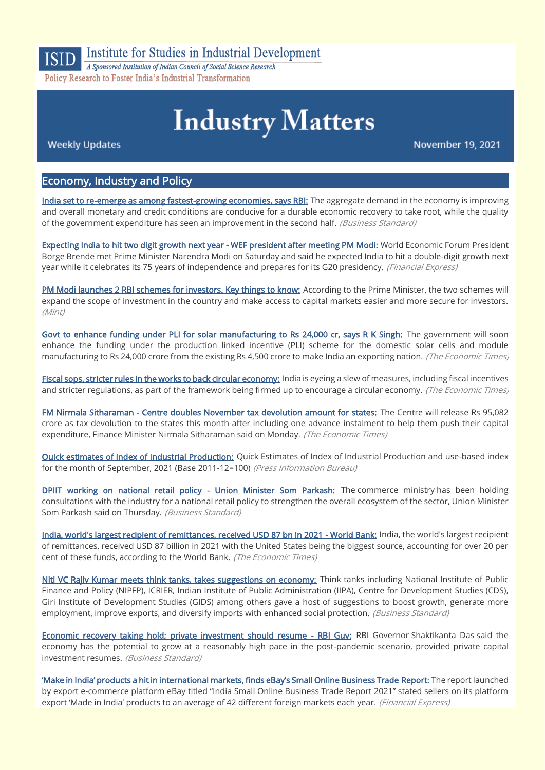

# Institute for Studies in Industrial Development

A Sponsored Institution of Indian Council of Social Science Research Policy Research to Foster India's Industrial Transformation

# **Industry Matters**

**Weekly Updates** 

November 19, 2021

#### Economy, Industry and Policy

[India set to re-emerge as among fastest-growing economies, says RBI:](https://www.business-standard.com/article/economy-policy/india-set-to-re-emerge-as-among-fastest-growing-economies-says-rbi-121111501444_1.html) The aggregate demand in the economy is improving and overall monetary and credit conditions are conducive for a durable economic recovery to take root, while the quality of the government expenditure has seen an improvement in the second half. (Business Standard)

[Expecting India to hit two digit growth next year - WEF president after meeting PM Modi:](https://www.financialexpress.com/economy/expecting-india-to-hit-two-digit-growth-next-year-wef-president-after-meeting-pm-modi/2368699/) World Economic Forum President Borge Brende met Prime Minister Narendra Modi on Saturday and said he expected India to hit a double-digit growth next year while it celebrates its 75 years of independence and prepares for its G20 presidency. (Financial Express)

[PM Modi launches 2 RBI schemes for investors. Key things to know:](https://www.livemint.com/economy/pm-modi-launches-rbi-retail-direct-and-integrated-ombudsman-scheme-11636696413760.html) According to the Prime Minister, the two schemes will expand the scope of investment in the country and make access to capital markets easier and more secure for investors. (Mint)

[Govt to enhance funding under PLI for solar manufacturing to Rs 24,000 cr, says R K Singh:](https://economictimes.indiatimes.com/industry/renewables/govt-to-enhance-funding-under-pli-for-solar-manufacturing-to-rs-24000-cr-says-r-k-singh/articleshow/87695133.cms) The government will soon enhance the funding under the production linked incentive (PLI) scheme for the domestic solar cells and module manufacturing to Rs 24,000 crore from the existing Rs 4,500 crore to make India an exporting nation. (The Economic Times)

[Fiscal sops, stricter rules in the works to back circular economy:](https://economictimes.indiatimes.com/news/economy/policy/fiscal-sops-stricter-rules-in-the-works-to-back-circular-economy/articleshow/87707093.cms) India is eyeing a slew of measures, including fiscal incentives and stricter regulations, as part of the framework being firmed up to encourage a circular economy. (The Economic Times)

[FM Nirmala Sitharaman - Centre doubles November tax devolution amount for states:](https://economictimes.indiatimes.com/news/india-unlimited/csr/policy/fm-nirmala-sitharaman-centre-doubles-november-tax-devolution-amount-for-states/articleshow/87723517.cms) The Centre will release Rs 95,082 crore as tax devolution to the states this month after including one advance instalment to help them push their capital expenditure, Finance Minister Nirmala Sitharaman said on Monday. (The Economic Times)

[Quick estimates of index of Industrial Production:](https://pib.gov.in/PressReleseDetail.aspx?PRID=1771219) Quick Estimates of Index of Industrial Production and use-based index for the month of September, 2021 (Base 2011-12=100) (Press Information Bureau)

[DPIIT working on national retail policy - Union Minister Som Parkash:](https://www.business-standard.com/article/economy-policy/dpiit-working-on-national-retail-policy-union-minister-som-parkash-121111801197_1.html) The commerce ministry has been holding consultations with the industry for a national retail policy to strengthen the overall ecosystem of the sector, Union Minister Som Parkash said on Thursday. (Business Standard)

[India, world's largest recipient of remittances, received USD 87 bn in 2021 - World Bank:](https://economictimes.indiatimes.com/news/economy/indicators/india-worlds-largest-recipient-of-remittances-received-usd-87-bn-in-2021-world-bank/articleshow/87772984.cms) India, the world's largest recipient of remittances, received USD 87 billion in 2021 with the United States being the biggest source, accounting for over 20 per cent of these funds, according to the World Bank. (The Economic Times)

[Niti VC Rajiv Kumar meets think tanks, takes suggestions on economy:](https://www.business-standard.com/article/economy-policy/niti-vc-rajiv-kumar-meets-think-tanks-takes-suggestions-on-economy-121111701428_1.html) Think tanks including National Institute of Public Finance and Policy (NIPFP), ICRIER, Indian Institute of Public Administration (IIPA), Centre for Development Studies (CDS), Giri Institute of Development Studies (GIDS) among others gave a host of suggestions to boost growth, generate more employment, improve exports, and diversify imports with enhanced social protection. (Business Standard)

[Economic recovery taking hold; private investment should resume - RBI Guv:](https://www.business-standard.com/article/economy-policy/economic-recovery-taking-hold-private-investment-should-resume-rbi-guv-121111600987_1.html) RBI Governor Shaktikanta Das said the economy has the potential to grow at a reasonably high pace in the post-pandemic scenario, provided private capital investment resumes. (Business Standard)

'Make in India' products a hit in international [markets, finds eBay's Small Online Business Trade](https://www.financialexpress.com/industry/sme/msme-exim-make-in-india-products-a-hit-in-international-markets-finds-ebays-small-online-business-trade-report/2369812/) Report: The report launched by export e-commerce platform eBay titled "India Small Online Business Trade Report 2021" stated sellers on its platform export 'Made in India' products to an average of 42 different foreign markets each year. (Financial Express)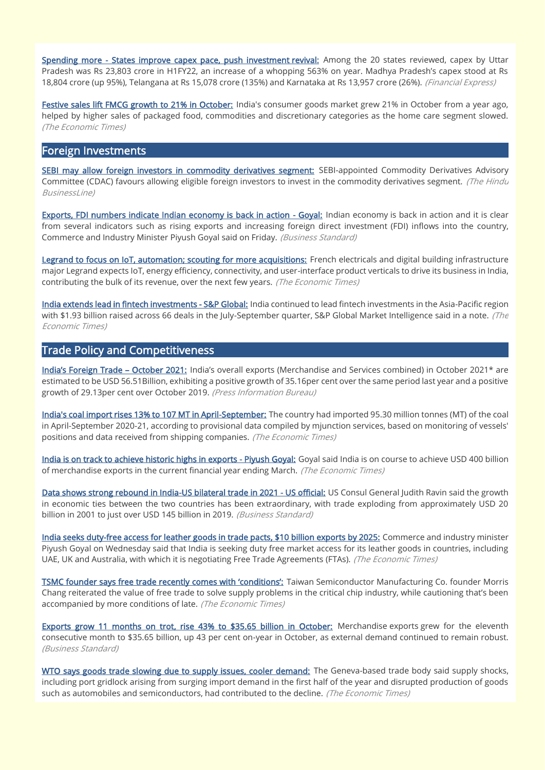[Spending more - States improve capex pace, push investment revival:](https://www.financialexpress.com/economy/spending-more-states-improve-capex-pace-push-investment-revival/2369125/) Among the 20 states reviewed, capex by Uttar Pradesh was Rs 23,803 crore in H1FY22, an increase of a whopping 563% on year. Madhya Pradesh's capex stood at Rs 18,804 crore (up 95%), Telangana at Rs 15,078 crore (135%) and Karnataka at Rs 13,957 crore (26%). (Financial Express)

[Festive sales lift FMCG growth to 21% in October:](https://economictimes.indiatimes.com/industry/cons-products/fmcg/festive-sales-lift-fmcg-growth-to-21-in-october/articleshow/87728379.cms) India's consumer goods market grew 21% in October from a year ago, helped by higher sales of packaged food, commodities and discretionary categories as the home care segment slowed. (The Economic Times)

#### Foreign Investments

[SEBI may allow foreign investors in commodity derivatives segment:](https://www.thehindubusinessline.com/markets/commodities/cdac-approves-proposal-to-allow-foreign-investment-in-commodity-derivatives-segment/article37509434.ece) SEBI-appointed Commodity Derivatives Advisory Committee (CDAC) favours allowing eligible foreign investors to invest in the commodity derivatives segment. (The Hindu BusinessLine)

[Exports, FDI numbers indicate Indian economy is back in action - Goyal:](https://www.business-standard.com/article/pti-stories/indian-economy-back-in-action-goyal-121111201663_1.html) Indian economy is back in action and it is clear from several indicators such as rising exports and increasing foreign direct investment (FDI) inflows into the country, Commerce and Industry Minister Piyush Goyal said on Friday. (Business Standard)

[Legrand to focus on IoT, automation; scouting for more acquisitions:](https://economictimes.indiatimes.com/industry/cons-products/electronics/legrand-to-focus-on-iot-automation-scouting-for-more-acquisitions/articleshow/87699464.cms) French electricals and digital building infrastructure major Legrand expects IoT, energy efficiency, connectivity, and user-interface product verticals to drive its business in India, contributing the bulk of its revenue, over the next few years. (The Economic Times)

[India extends lead in fintech investments - S&P Global:](https://economictimes.indiatimes.com/news/economy/finance/india-extends-lead-in-fintech-investments-sp-global/articleshow/87761528.cms) India continued to lead fintech investments in the Asia-Pacific region with \$1.93 billion raised across 66 deals in the July-September quarter, S&P Global Market Intelligence said in a note. (The Economic Times)

## Trade Policy and Competitiveness

[India's Foreign Trade –](https://pib.gov.in/PressReleseDetail.aspx?PRID=1772019) October 2021: India's overall exports (Merchandise and Services combined) in October 2021\* are estimated to be USD 56.51Billion, exhibiting a positive growth of 35.16per cent over the same period last year and a positive growth of 29.13per cent over October 2019. (Press Information Bureau)

[India's coal import rises 13% to 107 MT in April-September:](https://economictimes.indiatimes.com/industry/indl-goods/svs/metals-mining/indias-coal-import-rises-13-to-107-mt-in-april-september/articleshow/87695308.cms) The country had imported 95.30 million tonnes (MT) of the coal in April-September 2020-21, according to provisional data compiled by mjunction services, based on monitoring of vessels' positions and data received from shipping companies. (The Economic Times)

[India is on track to achieve historic highs in exports - Piyush Goyal:](https://economictimes.indiatimes.com/small-biz/trade/exports/insights/india-is-on-track-to-achieve-historic-highs-in-exports-piyush-goyal/articleshow/87709113.cms) Goyal said India is on course to achieve USD 400 billion of merchandise exports in the current financial year ending March. (The Economic Times)

[Data shows strong rebound in India-US bilateral trade in 2021 - US official:](https://www.business-standard.com/article/pti-stories/data-indicates-strong-rebound-in-india-us-bilateral-trade-in-2021-us-official-121111800424_1.html) US Consul General Judith Ravin said the growth in economic ties between the two countries has been extraordinary, with trade exploding from approximately USD 20 billion in 2001 to just over USD 145 billion in 2019. (Business Standard)

[India seeks duty-free access for leather goods in trade pacts, \\$10 billion exports by 2025:](https://economictimes.indiatimes.com/small-biz/trade/exports/insights/india-seeks-duty-free-access-for-leather-goods-in-trade-pacts-10-billion-exports-by-2025/articleshow/87773014.cms) Commerce and industry minister Piyush Goyal on Wednesday said that India is seeking duty free market access for its leather goods in countries, including UAE, UK and Australia, with which it is negotiating Free Trade Agreements (FTAs). (The Economic Times)

[TSMC founder says free trade recently comes with 'conditions':](https://economictimes.indiatimes.com/small-biz/trade/exports/insights/tsmc-founder-says-free-trade-recently-comes-with-conditions/articleshow/87694735.cms) Taiwan Semiconductor Manufacturing Co. founder Morris Chang reiterated the value of free trade to solve supply problems in the critical chip industry, while cautioning that's been accompanied by more conditions of late. (The Economic Times)

[Exports grow 11 months on trot, rise 43% to \\$35.65 billion in October:](https://www.business-standard.com/article/economy-policy/merchandise-exports-grow-11-months-on-trot-up-43-yoy-to-35-65-bn-in-oct-121111501399_1.html) Merchandise exports grew for the eleventh consecutive month to \$35.65 billion, up 43 per cent on-year in October, as external demand continued to remain robust. (Business Standard)

[WTO says goods trade slowing due to supply issues, cooler demand:](https://economictimes.indiatimes.com/small-biz/trade/exports/insights/wto-says-goods-trade-slowing-due-to-supply-issues-cooler-demand/articleshow/87729641.cms) The Geneva-based trade body said supply shocks, including port gridlock arising from surging import demand in the first half of the year and disrupted production of goods such as automobiles and semiconductors, had contributed to the decline. (The Economic Times)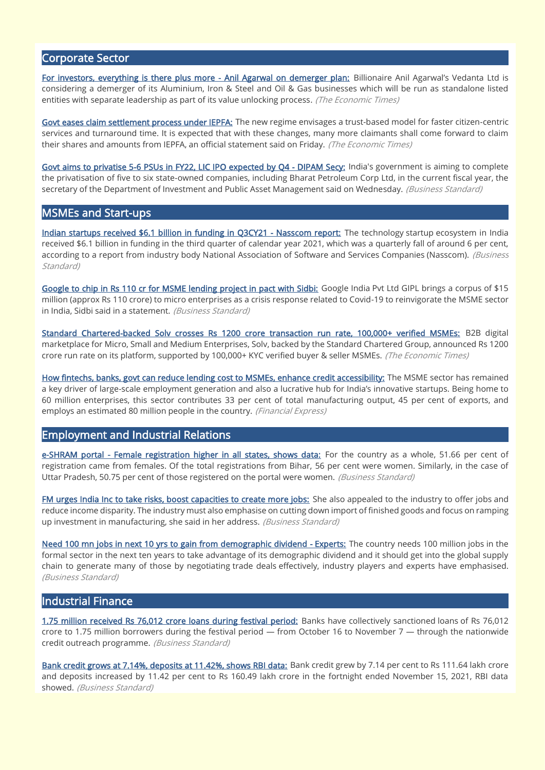## Corporate Sector

[For investors, everything is there plus more - Anil Agarwal on demerger plan:](https://economictimes.indiatimes.com/industry/indl-goods/svs/metals-mining/for-investors-everything-is-there-plus-more-anil-agarwal-on-demerger-plan/articleshow/87766784.cms) Billionaire Anil Agarwal's Vedanta Ltd is considering a demerger of its Aluminium, Iron & Steel and Oil & Gas businesses which will be run as standalone listed entities with separate leadership as part of its value unlocking process. (The Economic Times)

[Govt eases claim settlement process under IEPFA:](https://economictimes.indiatimes.com/news/economy/policy/govt-eases-claim-settlement-process-under-iepfa/articleshow/87665550.cms) The new regime envisages a trust-based model for faster citizen-centric services and turnaround time. It is expected that with these changes, many more claimants shall come forward to claim their shares and amounts from IEPFA, an official statement said on Friday. (The Economic Times)

[Govt aims to privatise 5-6 PSUs in FY22, LIC IPO expected by Q4 - DIPAM Secy:](https://www.business-standard.com/article/economy-policy/govt-aims-to-privatise-5-6-psus-in-fy22-lic-ipo-expected-by-q4-dipam-secy-121111700624_1.html) India's government is aiming to complete the privatisation of five to six state-owned companies, including Bharat Petroleum Corp Ltd, in the current fiscal year, the secretary of the Department of Investment and Public Asset Management said on Wednesday. (Business Standard)

#### MSMEs and Start-ups

[Indian startups received \\$6.1 billion in funding in Q3CY21 - Nasscom report:](https://www.business-standard.com/article/companies/indian-startups-received-6-1-billion-in-funding-in-q3cy21-nasscom-report-121111801078_1.html) The technology startup ecosystem in India received \$6.1 billion in funding in the third quarter of calendar year 2021, which was a quarterly fall of around 6 per cent, according to a report from industry body National Association of Software and Services Companies (Nasscom). (Business Standard)

[Google to chip in Rs 110 cr for MSME lending project in pact with Sidbi:](https://www.business-standard.com/article/finance/google-to-chip-in-rs-110-cr-for-msme-lending-project-in-pact-with-sidbi-121111801349_1.html) Google India Pvt Ltd GIPL brings a corpus of \$15 million (approx Rs 110 crore) to micro enterprises as a crisis response related to Covid-19 to reinvigorate the MSME sector in India, Sidbi said in a statement. (Business Standard)

[Standard Chartered-backed Solv crosses Rs 1200 crore transaction run rate, 100,000+ verified MSMEs:](https://economictimes.indiatimes.com/small-biz/sme-sector/solv-crosses-rs-1200-crore-transaction-run-rate-with-100000-verified-msmes-on-its-platform/articleshow/87661017.cms) B2B digital marketplace for Micro, Small and Medium Enterprises, Solv, backed by the Standard Chartered Group, announced Rs 1200 crore run rate on its platform, supported by 100,000+ KYC verified buyer & seller MSMEs. (The Economic Times)

[How fintechs, banks, govt can reduce lending cost to MSMEs, enhance credit accessibility:](https://www.financialexpress.com/industry/sme/cafe-sme/msme-fin-how-fintechs-banks-govt-can-reduce-lending-cost-to-msmes-enhance-credit-accessibility/2369086/) The MSME sector has remained a key driver of large-scale employment generation and also a lucrative hub for India's innovative startups. Being home to 60 million enterprises, this sector contributes 33 per cent of total manufacturing output, 45 per cent of exports, and employs an estimated 80 million people in the country. (Financial Express)

#### Employment and Industrial Relations

[e-SHRAM portal - Female registration higher in all states, shows data:](https://www.business-standard.com/article/economy-policy/e-shram-portal-female-registration-higher-in-all-states-shows-data-121111800073_1.html) For the country as a whole, 51.66 per cent of registration came from females. Of the total registrations from Bihar, 56 per cent were women. Similarly, in the case of Uttar Pradesh, 50.75 per cent of those registered on the portal were women. (Business Standard)

[FM urges India Inc to take risks, boost capacities to create more jobs:](https://www.business-standard.com/article/economy-policy/fm-urges-india-inc-to-take-risks-boost-capacities-to-create-more-jobs-121111701213_1.html) She also appealed to the industry to offer jobs and reduce income disparity. The industry must also emphasise on cutting down import of finished goods and focus on ramping up investment in manufacturing, she said in her address. (Business Standard)

[Need 100 mn jobs in next 10 yrs to gain from demographic dividend - Experts:](https://www.business-standard.com/article/economy-policy/need-100-mn-jobs-in-next-10-yrs-to-gain-from-demographic-dividend-experts-121111700933_1.html) The country needs 100 million jobs in the formal sector in the next ten years to take advantage of its demographic dividend and it should get into the global supply chain to generate many of those by negotiating trade deals effectively, industry players and experts have emphasised. (Business Standard)

#### Industrial Finance

[1.75 million received Rs 76,012 crore loans during festival period:](https://www.business-standard.com/article/economy-policy/1-75-million-received-rs-76-012-crore-loans-during-festival-period-121111800022_1.html) Banks have collectively sanctioned loans of Rs 76,012 crore to 1.75 million borrowers during the festival period  $-$  from October 16 to November 7  $-$  through the nationwide credit outreach programme. (Business Standard)

[Bank credit grows at 7.14%, deposits at 11.42%, shows RBI data:](https://www.business-standard.com/article/finance/bank-credit-grows-at-7-14-deposits-at-11-42-shows-rbi-data-121111700954_1.html) Bank credit grew by 7.14 per cent to Rs 111.64 lakh crore and deposits increased by 11.42 per cent to Rs 160.49 lakh crore in the fortnight ended November 15, 2021, RBI data showed. (Business Standard)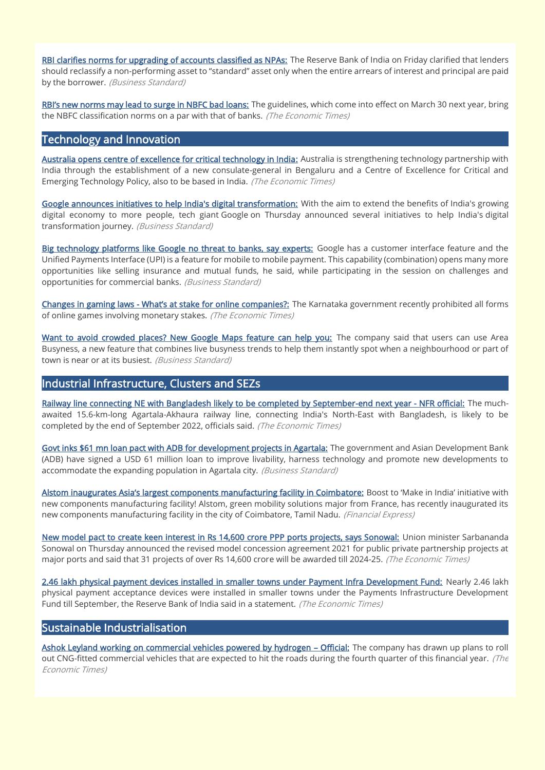[RBI clarifies norms for upgrading of accounts classified as NPAs:](https://www.business-standard.com/article/finance/rbi-clarifies-norms-for-upgrading-of-accounts-classified-as-npas-121111201775_1.html) The Reserve Bank of India on Friday clarified that lenders should reclassify a non-performing asset to "standard" asset only when the entire arrears of interest and principal are paid by the borrower. (Business Standard)

[RBI's new norms may lead t](https://bfsi.economictimes.indiatimes.com/news/nbfc/rbis-new-norms-may-lead-to-surge-in-nbfc-bad-loans/87707602)o surge in NBFC bad loans: The guidelines, which come into effect on March 30 next year, bring the NBFC classification norms on a par with that of banks. (The Economic Times)

#### Technology and Innovation

[Australia opens centre of excellence for critical technology in India:](https://economictimes.indiatimes.com/news/economy/foreign-trade/australia-opens-centre-of-excellence-for-critical-technology-in-india/articleshow/87765211.cms) Australia is strengthening technology partnership with India through the establishment of a new consulate-general in Bengaluru and a Centre of Excellence for Critical and Emerging Technology Policy, also to be based in India. (The Economic Times)

[Google announces initiatives to help India's digital transformation:](https://www.business-standard.com/article/technology/google-announces-initiatives-to-help-india-s-digital-transformation-121111800726_1.html) With the aim to extend the benefits of India's growing digital economy to more people, tech giant Google on Thursday announced several initiatives to help India's digital transformation journey. (Business Standard)

[Big technology platforms like Google no threat to banks, say experts:](https://www.business-standard.com/article/economy-policy/big-technology-platforms-like-google-no-threat-to-banks-say-experts-121111800017_1.html) Google has a customer interface feature and the Unified Payments Interface (UPI) is a feature for mobile to mobile payment. This capability (combination) opens many more opportunities like selling insurance and mutual funds, he said, while participating in the session on challenges and opportunities for commercial banks. (Business Standard)

Changes in gaming laws - [What's at stake for online companies?:](https://economictimes.indiatimes.com/small-biz/policy-trends/changes-in-gaming-laws-whats-at-stake-for-online-companies/articleshow/87679605.cms) The Karnataka government recently prohibited all forms of online games involving monetary stakes. (The Economic Times)

[Want to avoid crowded places? New Google Maps feature can help you:](https://www.business-standard.com/article/technology/want-to-avoid-crowded-places-new-google-maps-feature-can-help-you-121111700966_1.html) The company said that users can use Area Busyness, a new feature that combines live busyness trends to help them instantly spot when a neighbourhood or part of town is near or at its busiest. (Business Standard)

#### Industrial Infrastructure, Clusters and SEZs

[Railway line connecting NE with Bangladesh likely to be completed by September-end next year - NFR official:](https://economictimes.indiatimes.com/industry/transportation/railways/railway-line-connecting-ne-with-bangladesh-likely-to-be-completed-by-september-end-next-year-nfr-official/articleshow/87684995.cms) The muchawaited 15.6-km-long Agartala-Akhaura railway line, connecting India's North-East with Bangladesh, is likely to be completed by the end of September 2022, officials said. (The Economic Times)

[Govt inks \\$61 mn loan pact with ADB for development projects in Agartala:](https://www.business-standard.com/article/economy-policy/govt-inks-61-mn-loan-pact-with-adb-for-development-projects-in-agartala-121111600047_1.html) The government and Asian Development Bank (ADB) have signed a USD 61 million loan to improve livability, harness technology and promote new developments to accommodate the expanding population in Agartala city. *(Business Standard)* 

[Alstom inaugurates Asia's largest components manufacturing facility in Coimb](https://www.financialexpress.com/infrastructure/alstom-inaugurates-asias-largest-components-manufacturing-facility-in-coimbatore-details/2370931/)atore: Boost to 'Make in India' initiative with new components manufacturing facility! Alstom, green mobility solutions major from France, has recently inaugurated its new components manufacturing facility in the city of Coimbatore, Tamil Nadu. (Financial Express)

[New model pact to create keen interest in Rs 14,600 crore PPP ports projects, says Sonowal:](https://economictimes.indiatimes.com/news/economy/infrastructure/new-model-pact-to-create-keen-interest-in-rs-14600-crore-ppp-ports-projects-says-sonowal/articleshow/87784546.cms) Union minister Sarbananda Sonowal on Thursday announced the revised model concession agreement 2021 for public private partnership projects at major ports and said that 31 projects of over Rs 14,600 crore will be awarded till 2024-25. (The Economic Times)

[2.46 lakh physical payment devices installed in smaller towns under Payment Infra Development Fund:](https://economictimes.indiatimes.com/news/economy/finance/2-46-lakh-physical-payment-devices-installed-in-smaller-towns-under-payment-infra-development-fund/articleshow/87742684.cms) Nearly 2.46 lakh physical payment acceptance devices were installed in smaller towns under the Payments Infrastructure Development Fund till September, the Reserve Bank of India said in a statement. (The Economic Times)

#### Sustainable Industrialisation

[Ashok Leyland working on commercial vehicles powered by hydrogen](https://economictimes.indiatimes.com/industry/renewables/ashok-leyland-working-on-commercial-vehicles-powered-by-hydrogen-official/articleshow/87722716.cms) - Official: The company has drawn up plans to roll out CNG-fitted commercial vehicles that are expected to hit the roads during the fourth quarter of this financial year. (The Economic Times)